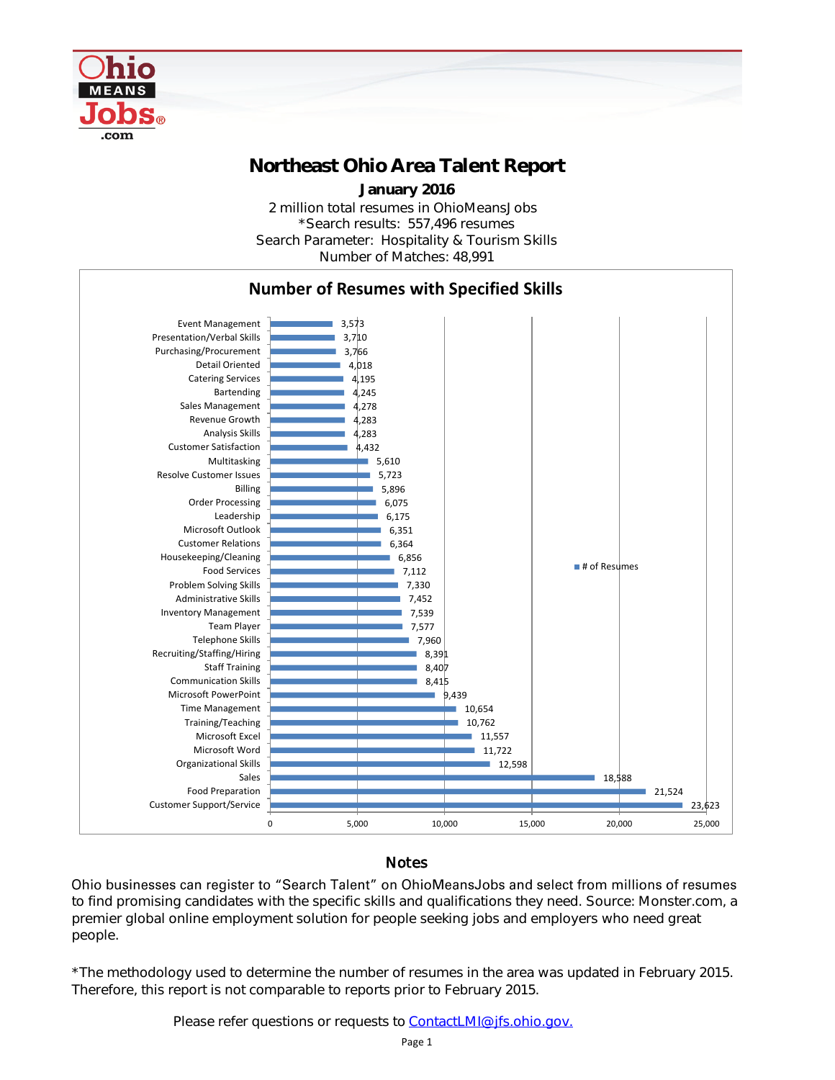

## Northeast Ohio Area Talent Report

2 million total resumes in OhioMeansJobs \*Search results: 557,496 resumes Number of Matches: 48,991 Search Parameter: Hospitality & Tourism Skills January 2016



## **Notes**

Ohio businesses can register to "Search Talent" on OhioMeansJobs and select from millions of resumes to find promising candidates with the specific skills and qualifications they need. Source: Monster.com, a premier global online employment solution for people seeking jobs and employers who need great people.

\*The methodology used to determine the number of resumes in the area was updated in February 2015. Therefore, this report is not comparable to reports prior to February 2015.

Please refer questions or requests to [ContactLMI@jfs.ohio.gov.](mailto:ContactLMI@jfs.ohio.gov.)